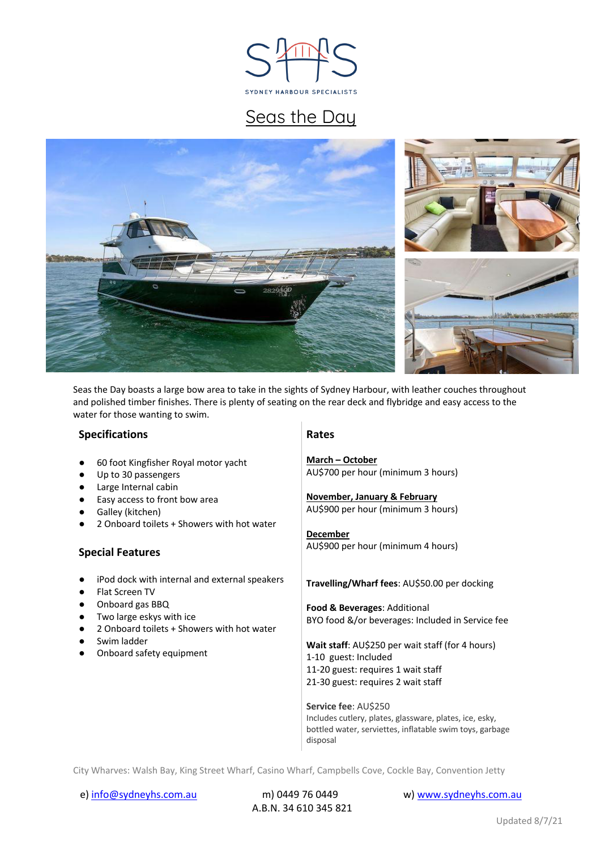

# Seas the Day



Seas the Day boasts a large bow area to take in the sights of Sydney Harbour, with leather couches throughout and polished timber finishes. There is plenty of seating on the rear deck and flybridge and easy access to the water for those wanting to swim.

#### **Specifications**

| 60 foot Kingfisher Royal motor yacht |  |  |  |  |  |  |
|--------------------------------------|--|--|--|--|--|--|
|--------------------------------------|--|--|--|--|--|--|

- Up to 30 passengers
- Large Internal cabin
- Easy access to front bow area
- Galley (kitchen)
- 2 Onboard toilets + Showers with hot water

#### **Special Features**

- iPod dock with internal and external speakers
- **Flat Screen TV**
- Onboard gas BBQ
- Two large eskys with ice
- 2 Onboard toilets + Showers with hot water
- Swim ladder
- Onboard safety equipment

#### **Rates**

**March – October** AU\$700 per hour (minimum 3 hours)

**November, January & February** AU\$900 per hour (minimum 3 hours)

#### **December** AU\$900 per hour (minimum 4 hours)

#### **Travelling/Wharf fees**: AU\$50.00 per docking

**Food & Beverages**: Additional BYO food &/or beverages: Included in Service fee

**Wait staff**: AU\$250 per wait staff (for 4 hours) 1-10 guest: Included 11-20 guest: requires 1 wait staff 21-30 guest: requires 2 wait staff

**Service fee**: AU\$250 Includes cutlery, plates, glassware, plates, ice, esky, bottled water, serviettes, inflatable swim toys, garbage disposal

City Wharves: Walsh Bay, King Street Wharf, Casino Wharf, Campbells Cove, Cockle Bay, Convention Jetty

A.B.N. 34 610 345 821

e) info@sydneyhs.com.au m) 0449 76 0449 www.sydneyhs.com.au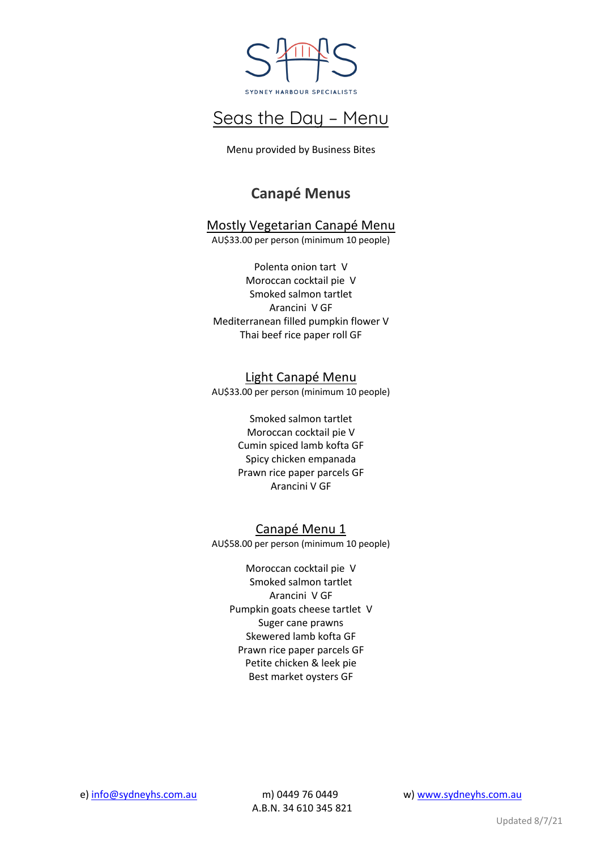

Menu provided by Business Bites

## **Canapé Menus**

## Mostly Vegetarian Canapé Menu

AU\$33.00 per person (minimum 10 people)

Polenta onion tart V Moroccan cocktail pie V Smoked salmon tartlet Arancini V GF Mediterranean filled pumpkin flower V Thai beef rice paper roll GF

Light Canapé Menu AU\$33.00 per person (minimum 10 people)

> Smoked salmon tartlet Moroccan cocktail pie V Cumin spiced lamb kofta GF Spicy chicken empanada Prawn rice paper parcels GF Arancini V GF

Canapé Menu 1 AU\$58.00 per person (minimum 10 people)

Moroccan cocktail pie V Smoked salmon tartlet Arancini V GF Pumpkin goats cheese tartlet V Suger cane prawns Skewered lamb kofta GF Prawn rice paper parcels GF Petite chicken & leek pie Best market oysters GF

e) info@sydneyhs.com.au m) 0449 76 0449 www.sydneyhs.com.au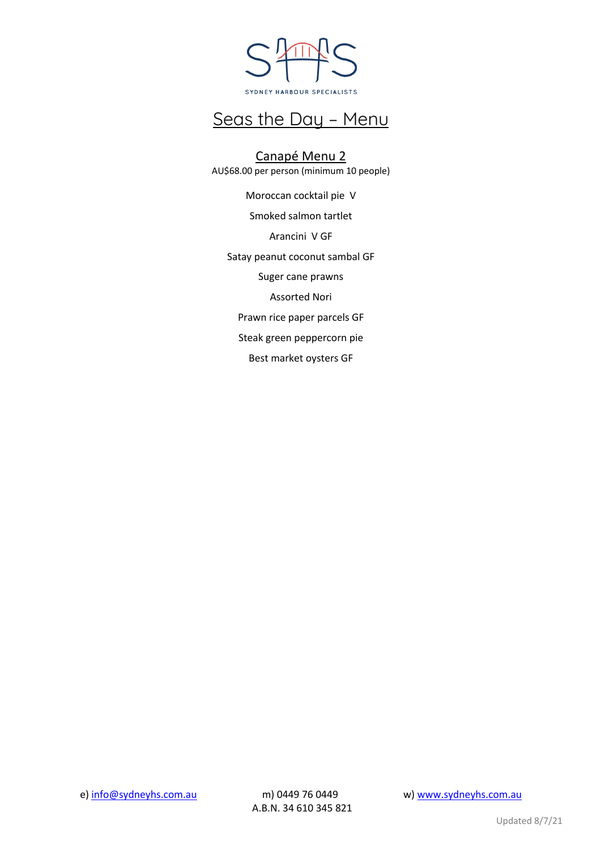

Canapé Menu 2 AU\$68.00 per person (minimum 10 people)

Moroccan cocktail pie V Smoked salmon tartlet Arancini V GF Satay peanut coconut sambal GF Suger cane prawns Assorted Nori Prawn rice paper parcels GF Steak green peppercorn pie Best market oysters GF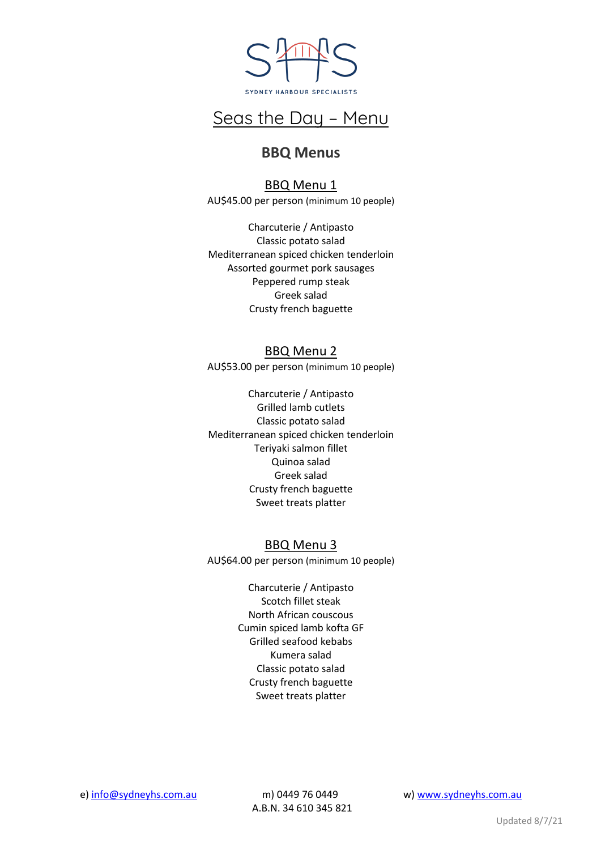

### **BBQ Menus**

BBQ Menu 1 AU\$45.00 per person (minimum 10 people)

Charcuterie / Antipasto Classic potato salad Mediterranean spiced chicken tenderloin Assorted gourmet pork sausages Peppered rump steak Greek salad Crusty french baguette

### BBQ Menu 2

AU\$53.00 per person (minimum 10 people)

Charcuterie / Antipasto Grilled lamb cutlets Classic potato salad Mediterranean spiced chicken tenderloin Teriyaki salmon fillet Quinoa salad Greek salad Crusty french baguette Sweet treats platter

### BBQ Menu 3

AU\$64.00 per person (minimum 10 people)

Charcuterie / Antipasto Scotch fillet steak North African couscous Cumin spiced lamb kofta GF Grilled seafood kebabs Kumera salad Classic potato salad Crusty french baguette Sweet treats platter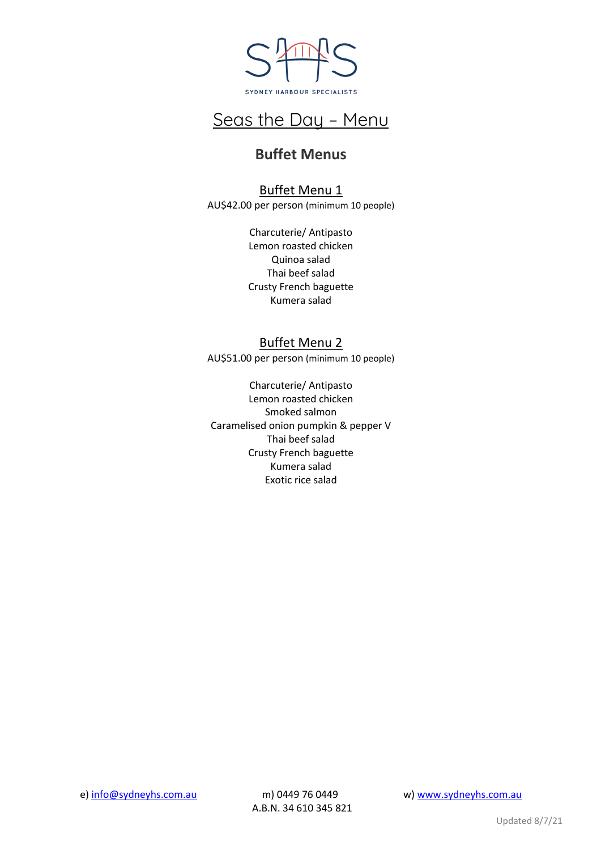

## **Buffet Menus**

### Buffet Menu 1

AU\$42.00 per person (minimum 10 people)

Charcuterie/ Antipasto Lemon roasted chicken Quinoa salad Thai beef salad Crusty French baguette Kumera salad

### Buffet Menu 2

AU\$51.00 per person (minimum 10 people)

Charcuterie/ Antipasto Lemon roasted chicken Smoked salmon Caramelised onion pumpkin & pepper V Thai beef salad Crusty French baguette Kumera salad Exotic rice salad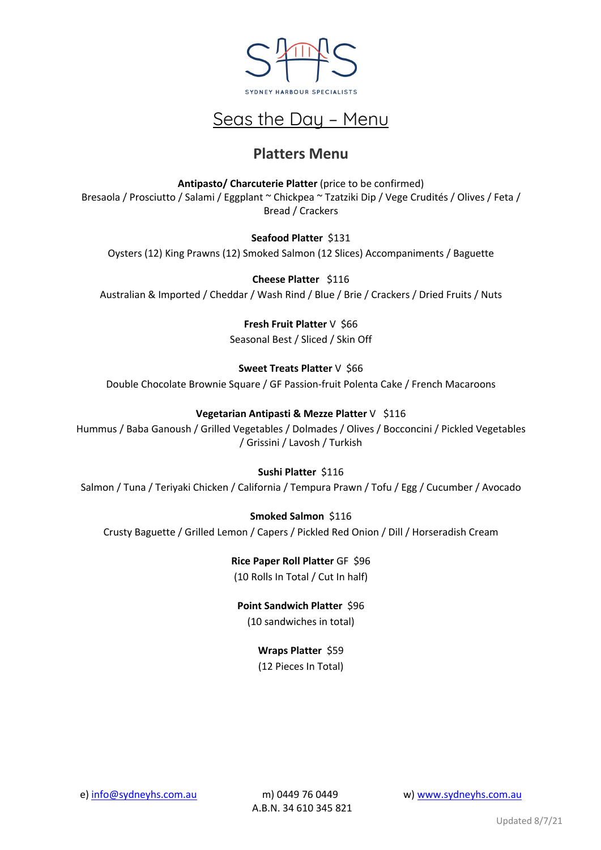

## **Platters Menu**

**Antipasto/ Charcuterie Platter** (price to be confirmed) Bresaola / Prosciutto / Salami / Eggplant ~ Chickpea ~ Tzatziki Dip / Vege Crudités / Olives / Feta / Bread / Crackers

#### **Seafood Platter** \$131

Oysters (12) King Prawns (12) Smoked Salmon (12 Slices) Accompaniments / Baguette

**Cheese Platter** \$116 Australian & Imported / Cheddar / Wash Rind / Blue / Brie / Crackers / Dried Fruits / Nuts

> **Fresh Fruit Platter** V \$66 Seasonal Best / Sliced / Skin Off

### **Sweet Treats Platter** V \$66

Double Chocolate Brownie Square / GF Passion-fruit Polenta Cake / French Macaroons

#### **Vegetarian Antipasti & Mezze Platter** V \$116

Hummus / Baba Ganoush / Grilled Vegetables / Dolmades / Olives / Bocconcini / Pickled Vegetables / Grissini / Lavosh / Turkish

### **Sushi Platter** \$116

Salmon / Tuna / Teriyaki Chicken / California / Tempura Prawn / Tofu / Egg / Cucumber / Avocado

### **Smoked Salmon** \$116

Crusty Baguette / Grilled Lemon / Capers / Pickled Red Onion / Dill / Horseradish Cream

**Rice Paper Roll Platter** GF \$96 (10 Rolls In Total / Cut In half)

**Point Sandwich Platter** \$96 (10 sandwiches in total)

### **Wraps Platter** \$59

(12 Pieces In Total)

e) info@sydneyhs.com.au m) 0449 76 0449 www.sydneyhs.com.au